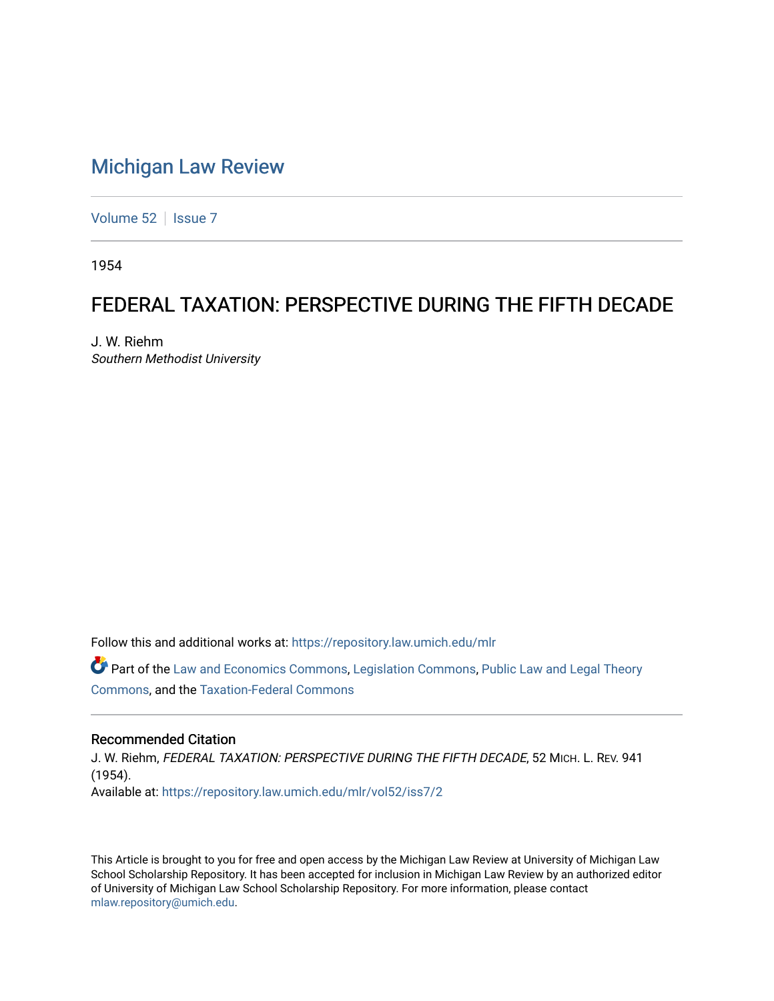## [Michigan Law Review](https://repository.law.umich.edu/mlr)

[Volume 52](https://repository.law.umich.edu/mlr/vol52) | [Issue 7](https://repository.law.umich.edu/mlr/vol52/iss7)

1954

## FEDERAL TAXATION: PERSPECTIVE DURING THE FIFTH DECADE

J. W. Riehm Southern Methodist University

Follow this and additional works at: [https://repository.law.umich.edu/mlr](https://repository.law.umich.edu/mlr?utm_source=repository.law.umich.edu%2Fmlr%2Fvol52%2Fiss7%2F2&utm_medium=PDF&utm_campaign=PDFCoverPages) 

Part of the [Law and Economics Commons](http://network.bepress.com/hgg/discipline/612?utm_source=repository.law.umich.edu%2Fmlr%2Fvol52%2Fiss7%2F2&utm_medium=PDF&utm_campaign=PDFCoverPages), [Legislation Commons,](http://network.bepress.com/hgg/discipline/859?utm_source=repository.law.umich.edu%2Fmlr%2Fvol52%2Fiss7%2F2&utm_medium=PDF&utm_campaign=PDFCoverPages) [Public Law and Legal Theory](http://network.bepress.com/hgg/discipline/871?utm_source=repository.law.umich.edu%2Fmlr%2Fvol52%2Fiss7%2F2&utm_medium=PDF&utm_campaign=PDFCoverPages) [Commons](http://network.bepress.com/hgg/discipline/871?utm_source=repository.law.umich.edu%2Fmlr%2Fvol52%2Fiss7%2F2&utm_medium=PDF&utm_campaign=PDFCoverPages), and the [Taxation-Federal Commons](http://network.bepress.com/hgg/discipline/881?utm_source=repository.law.umich.edu%2Fmlr%2Fvol52%2Fiss7%2F2&utm_medium=PDF&utm_campaign=PDFCoverPages)

#### Recommended Citation

J. W. Riehm, FEDERAL TAXATION: PERSPECTIVE DURING THE FIFTH DECADE, 52 MICH. L. REV. 941 (1954). Available at: [https://repository.law.umich.edu/mlr/vol52/iss7/2](https://repository.law.umich.edu/mlr/vol52/iss7/2?utm_source=repository.law.umich.edu%2Fmlr%2Fvol52%2Fiss7%2F2&utm_medium=PDF&utm_campaign=PDFCoverPages)

This Article is brought to you for free and open access by the Michigan Law Review at University of Michigan Law School Scholarship Repository. It has been accepted for inclusion in Michigan Law Review by an authorized editor of University of Michigan Law School Scholarship Repository. For more information, please contact [mlaw.repository@umich.edu.](mailto:mlaw.repository@umich.edu)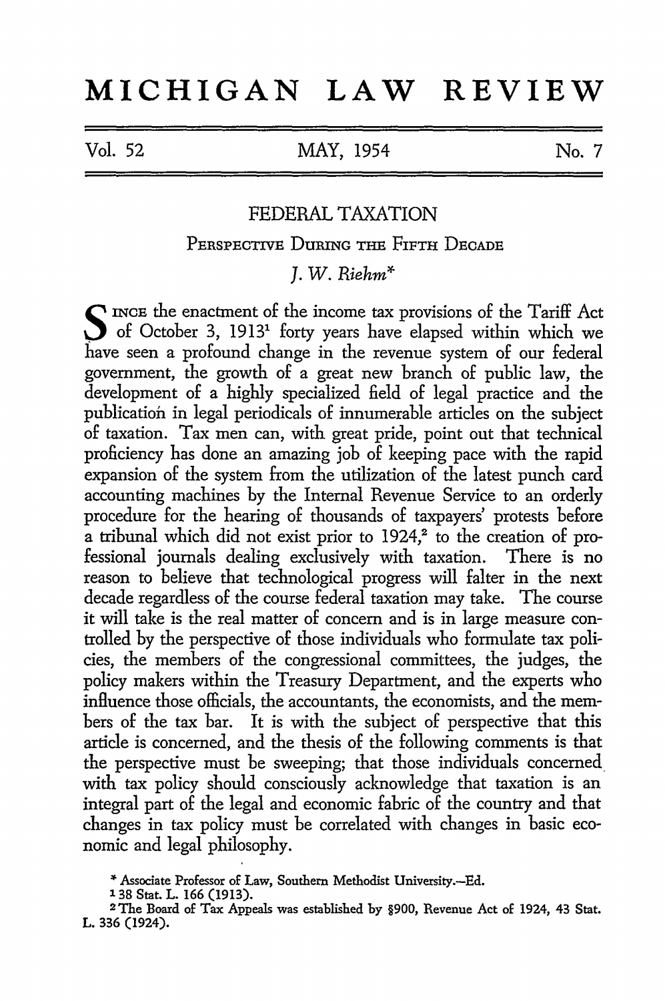# **MICHIGAN LAW REVIEW**

Vol. 52 MAY, 1954

No. 7

### FEDERAL TAXATION

PERSPECTIVE DuRING THE FIFTH DECADE

*]. W. Riehm\** 

S INCE the enactment of the income tax provisions of the Tariff Act of October 3, 1913<sup>1</sup> forty years have elapsed within which we have seen a profound change in the revenue system of our federal government, the growth of a great new branch of public law, the development of a highly specialized field of legal practice and the publication in legal periodicals of innumerable articles on the subject of taxation. Tax men can, with great pride, point out that technical proficiency has done an amazing job of keeping pace with the rapid expansion of the system from the utilization of the latest punch card accounting machines by the Internal Revenue Service to an orderly procedure for the hearing of thousands of taxpayers' protests before a tribunal which did not exist prior to 1924,<sup>2</sup> to the creation of professional journals dealing exclusively with taxation. There is no reason to believe that technological progress will falter in the next decade regardless of the course federal taxation may take. The course it will take is the real matter of concern and is in large measure controlled by the perspective of those individuals who formulate tax policies, the members of the congressional committees, the judges, the policy makers within the Treasury Department, and the experts who influence those officials, the accountants, the economists, and the members of the tax bar. It is with the subject of perspective that this article is concerned, and the thesis of the following comments is that the perspective must be sweeping; that those individuals concerned. with tax policy should consciously acknowledge that taxation is an integral part of the legal and economic fabric of the country and that changes in tax policy must be correlated with changes in basic economic and legal philosophy.

<sup>&</sup>quot;"Associate Professor of Law, Southern Methodist University.-Ed. 1 38 Stat. L. 166 (1913).

<sup>2</sup>The Board of Tax Appeals was established by §900, Revenue Act of 1924, 43 Stat. L. 336 (1924).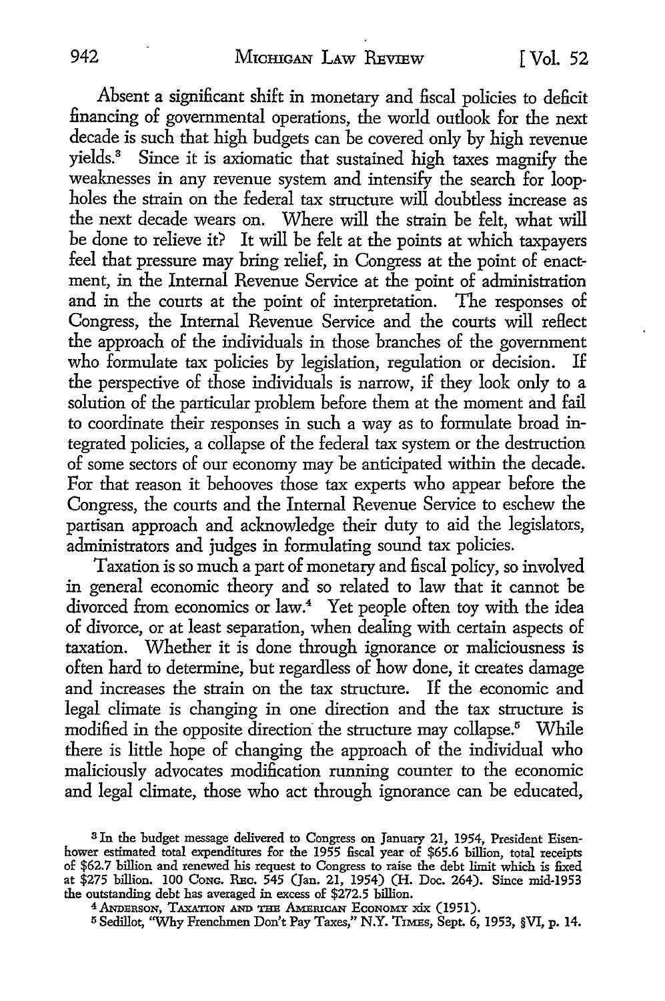Absent a significant shift in monetary and fiscal policies to deficit financing of governmental operations, the world outlook for the next decade is such that high budgets can be covered only by high revenue yields.<sup>3</sup> Since it is axiomatic that sustained high taxes magnify the weaknesses in any revenue system and intensify the search for loopholes the strain on the federal tax structure will doubtless increase as the next decade wears on. Where will the strain be felt, what will be done to relieve it? It will be felt at the points at which taxpayers feel that pressure may bring relief, in Congress at the point of enactment, in the Internal Revenue Service at the point of administration and in the courts at the point of interpretation. The responses of Congress, the Internal Revenue Service and the courts will reflect the approach of the individuals in those branches of the government who formulate tax policies by legislation, regulation or decision. If the perspective of those individuals is narrow, if they look only to a solution of the particular problem before them at the moment and fail to coordinate their responses in such a way as to formulate broad integrated policies, a collapse of the federal tax system or the destruction of some sectors of our economy may be anticipated within the decade. For that reason it behooves those tax experts who appear before the Congress, the courts and the Internal Revenue Service to eschew the partisan approach and acknowledge their duty to aid the legislators, administrators and judges in formulating sound tax policies.

Taxation is so much a part of monetary and fiscal policy, so involved in general economic theory and so related to law that it cannot be divorced from economics or law.<sup>4</sup> Yet people often toy with the idea of divorce, or at least separation, when dealing with certain aspects of taxation. Whether it is done through ignorance or maliciousness is often hard to determine, but regardless of how done, it creates damage and increases the strain on the tax structure. If the economic and legal climate is changing in one direction and the tax structure is modified in the opposite direction the structure may collapse.<sup>5</sup> While there is little hope of changing the approach of the individual who maliciously advocates modification running counter to the economic and legal climate, those who act through ignorance can be educated,

<sup>3</sup> In the budget message delivered to Congress on January 21, 1954, President Eisenhower estimated total expenditures for the 1955 fiscal year of \$65.6 billion, total receipts of \$62.7 billion and renewed his request to Congress to raise the debt limit which is fixed at \$275 billion. 100 Conc. REC. 545 (Jan. 21, 1954) (H. Doc. 264). Since mid-1953 the outstanding debt has averaged in excess of \$272.5 billion.

<sup>&</sup>lt;sup>4</sup> ANDERSON, TAXATION AND THE AMERICAN ECONOMY XIX (1951).

<sup>5</sup> Sedillot, ''Why Frenchmen Don't Pay Taxes," N.Y. T1MEs, Sept. 6, 1953, §VI, p. 14.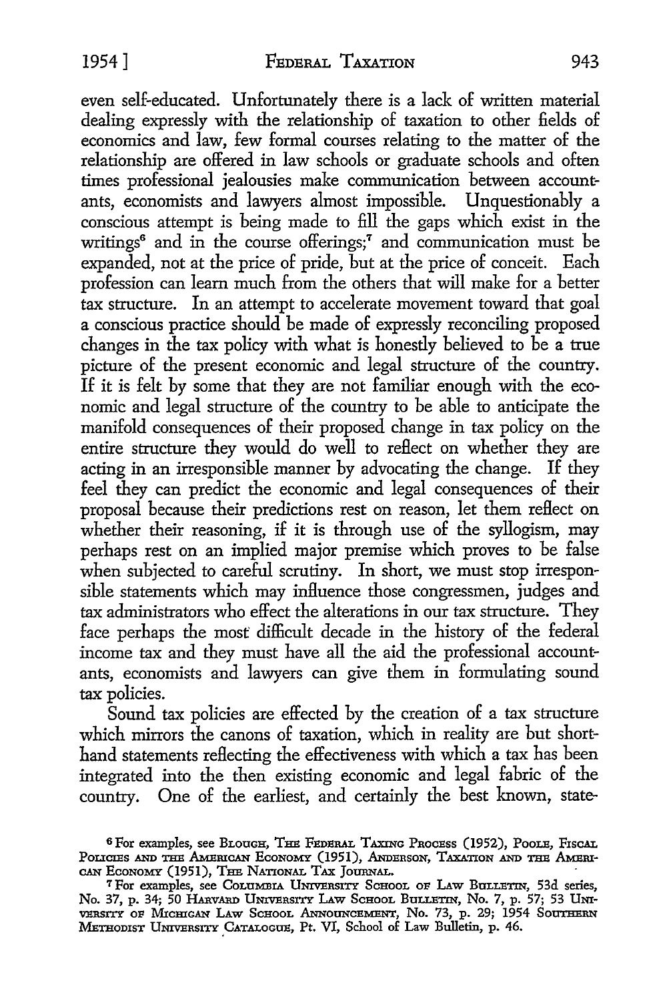even self-educated. Unfortunately there is a lack of written material dealing expressly with the relationship of taxation to other fields of economics and law, few formal courses relating to the matter of the relationship are offered in law schools or graduate schools and often times professional jealousies make communication between accountants, economists and lawyers almost impossible. Unquestionably a conscious attempt is being made to fill the gaps which exist in the writings<sup>6</sup> and in the course offerings;<sup>7</sup> and communication must be expanded, not at the price of pride, but at the price of conceit. Each profession can learn much from the others that will make for a better tax structure. In an attempt *to* accelerate movement toward that goal a conscious practice should be made of expressly reconciling proposed changes in the tax policy with what is honestly believed to be a true picture of the present economic and legal structure of the country. If it is felt by some that they are not familiar enough with the economic and legal structure of the country to be able to anticipate the manifold consequences of their proposed change in tax policy on the entire structure they would do well to reflect on whether they are acting in an irresponsible manner by advocating the change. If they feel they can predict the economic and legal consequences of their proposal because their predictions rest on reason, let them reflect on whether their reasoning, if it is through use of the syllogism, may perhaps rest on an implied major premise which proves to be false when subjected to careful scrutiny. In short, we must stop irresponsible statements which may influence those congressmen, judges and tax administrators who effect the alterations in our tax structure. They face perhaps the most difficult decade in the history of the federal income tax and they must have all the aid the professional accountants, economists and lawyers can give them in formulating sound tax policies.

Sound tax policies are effected by the creation of a tax structure which mirrors the canons of taxation, which in reality are but shorthand statements reflecting the effectiveness with which a tax has been integrated into the then existing economic and legal fabric of the country. One of the earliest, and certainly the best known, state-

<sup>6</sup> For examples, see BLOUGH, THE FEDERAL TAXING PROCESS (1952), POOLE, FISCAL POLICIES AND THE AMERICAN ECONOMY (1951), ANDERSON, TAXATION AND THE AMERI-CAN ECONOMY (1951), THE NATIONAL TAX JOURNAL.

<sup>&</sup>lt;sup>7</sup> For examples, see COLUMBIA UNIVERSITY SCHOOL OF LAW BULLETIN, 53d series, No. 37, p. 34; 50 HARVARD UNIVERSITY LAW SCHOOL BULLETIN, No. 7, p. 57; 53 UNIversity of Michigan Law School Announcement, No. 73, p. 29; 1954 Southern METHODIST UNIVERSITY CATALOGUE, Pt. VI, School of Law Bulletin, p. 46.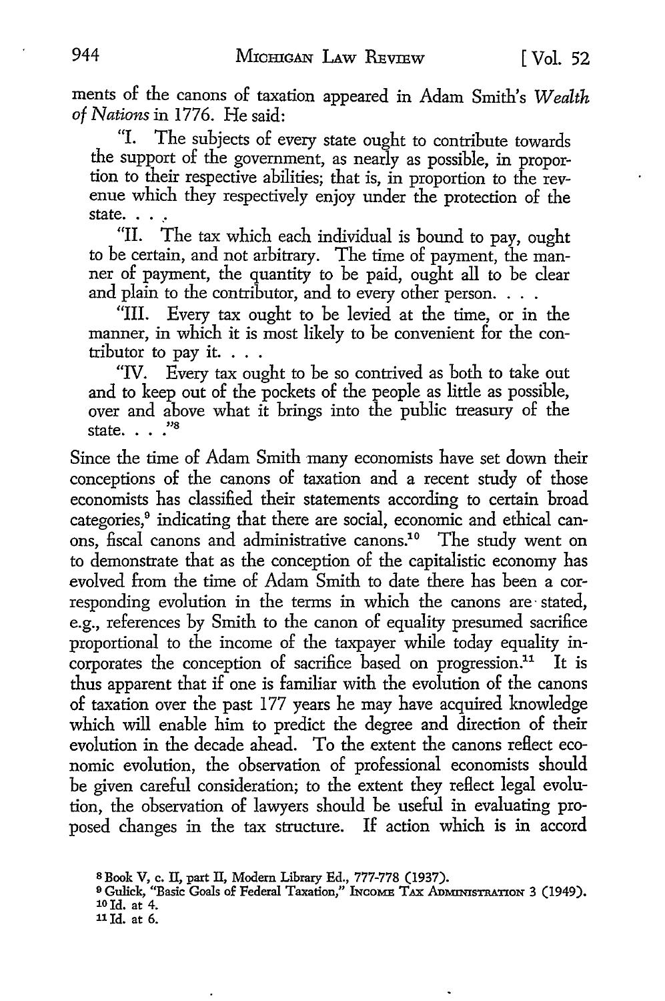men ts of the canons of taxation appeared in Adam Smith's *Wealth*  of Nations in 1776. He said:

"I. The subjects of every state ought to contribute towards the support of the government, as nearly as possible, in proportion *to* their respective abilities; that is, in proportion *to* the revenue which they respectively enjoy under the protection of the state.

"II. The tax which each individual is bound *to* pay, ought *to* be certain, and not arbitrary. The time of payment, the manner of payment, the quantity *to* be paid, ought all *to* be dear and plain *to* the contributor, and *to* every other person. . . .

"III. Every tax ought *to* be levied at the time, or in the manner, in which it is most likely *to* be convenient for the contributor to pay it.  $\ldots$ 

"IV. Every tax ought to be so contrived as both to take out and *to* keep out of the pockets of the people as little as possible, over and above what it brings into the public treasury of the state... $\frac{1}{8}$ 

Since the time of Adam Smith many economists have set down their conceptions of the canons of taxation and a recent study of those economists has classified their statements according *to* certain broad categories,<sup>9</sup> indicating that there are social, economic and ethical canons, fiscal canons and administrative canons.<sup>10</sup> The study went on to demonstrate that as the conception of the capitalistic economy has evolved from the time of Adam Smith *to* date there has been a corresponding evolution in the terms in which the canons are· stated, e.g., references by Smith to the canon of equality presumed sacrifice proportional *to* the income of the taxpayer while today equality incorporates the conception of sacrifice based on progression.<sup>11</sup> It is thus apparent that if one is familiar with the evolution of the canons of taxation over the past 177 years he may have acquired knowledge which will enable him *to* predict the degree and direction of their evolution in the decade ahead. To the extent the canons reflect economic evolution, the observation of professional economists should be given careful consideration; *to* the extent they reflect legal evolution, the observation of lawyers should be useful in evaluating proposed changes in the tax structure. If action which is in accord

s Book V, c. II, part II, Modem Library Ed., 777-778 (1937).

<sup>9</sup> Gulick, "Basic Goals of Federal Taxation," INCOME TAX ADMINISTRATION 3 (1949). 10 Id. at 4.

llld. at 6.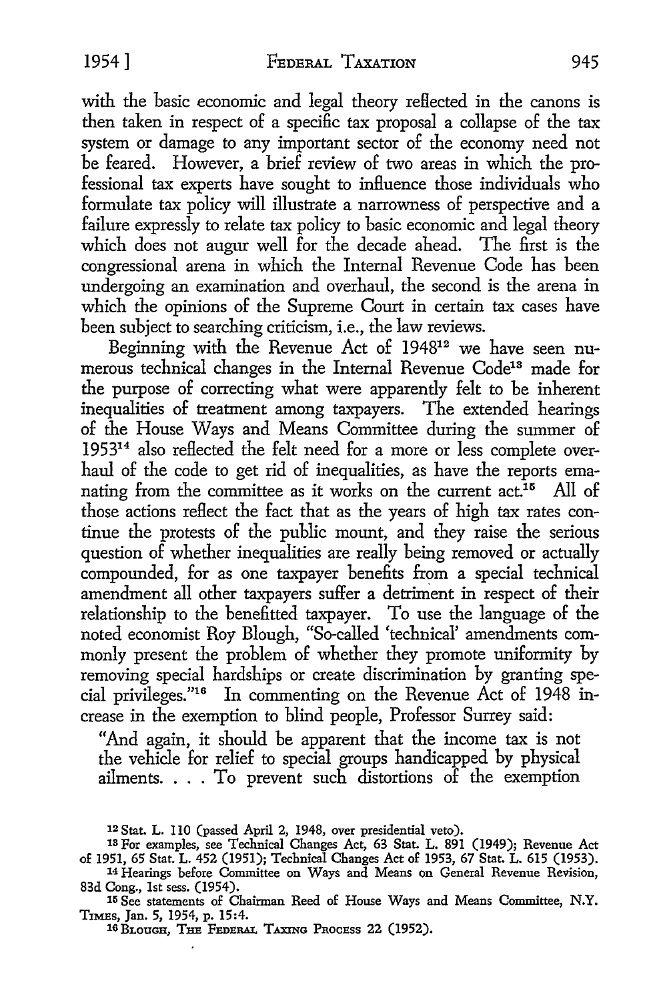with the basic economic and legal theory reflected in the canons is then taken in respect of a specific tax proposal a collapse of the tax system or damage to any important sector of the economy need not be feared. However, a brief review of two areas in which the professional tax experts have sought to influence those individuals who formulate tax policy will illustrate a narrowness of perspective and a failure expressly to relate tax policy to basic economic and legal theory which does not augur well for the decade ahead. The first is the congressional arena in which the Internal Revenue Code has been undergoing an examination and overhaul, the second is the arena in which the opinions of the Supreme Court in certain tax cases have been subject to searching criticism, i.e., the law reviews.

Beginning with the Revenue Act of 194812 we have seen numerous technical changes in the Internal Revenue Code<sup>13</sup> made for the purpose of correcting what were apparently felt to be inherent inequalities of treatment among taxpayers. The extended hearings of the House Ways and Means Committee during the summer of 195314 also reflected the felt need for a more or less complete overhaul of the code to get rid of inequalities, as have the reports emanating from the committee as it works on the current  $act<sup>16</sup>$ . All of those actions reflect the fact that as the years of high tax rates continue the protests of the public mount, and they raise the serious question of whether inequalities are really being removed or actually compounded, for as one taxpayer benefits from a special technical amendment all other taxpayers suffer a detriment in respect of their relationship to the benefitted taxpayer. To use the language of the noted economist Roy Blough, "So-called 'technical' amendments commonly present the problem of whether they promote uniformity by removing special hardships or create discrimination by granting special privileges."16 In commenting on the Revenue Act of 1948 increase in the exemption to blind people, Professor Surrey said:

"And again, it should be apparent that the income tax is not the vehicle for relief to special groups handicapped by physical ailments. . . . To prevent such distortions of the exemption

<sup>12</sup> Stat. L. 110 (passed April 2, 1948, over presidential veto).

<sup>13</sup> For examples, see Technical Changes Act, 63 Stat. L. 891 (1949); Revenue Act

of 1951, 65 Stat. L. 452 (1951); Technical Changes Act of 1953, 67 Stat. L. 615 (1953). 14 Hearings before Committee on Ways and Means on General Revenue Revision, 83d Cong., 1st sess. (1954).

<sup>15</sup> See statements of Chairman Reed of House Ways and Means Committee, N.Y. TIMEs, Jan. 5, 1954, p. 15:4.

<sup>16</sup> BLOUGH, THE FEDERAL TAXING PROCESS 22 (1952).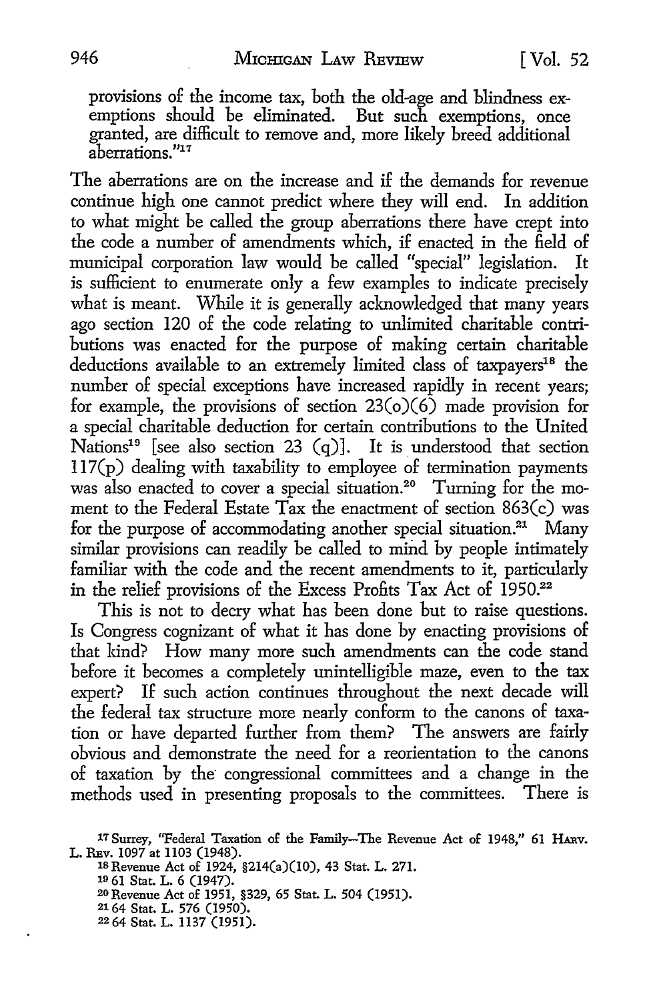provisions of the income tax, both the old-age and blindness exemptions should be eliminated. But such exemptions, once granted, are difficult to remove and, more likely breed additional aberrations. *"*<sup>11</sup>

The aberrations are on the increase and if the demands for revenue continue high one cannot predict where they will end. In addition to what might be called the group aberrations there have crept into the code a number of amendments which, if enacted in the field of municipal corporation law would be called "special" legislation. It is sufficient to enumerate only a few examples to indicate precisely what is meant. While it is generally acknowledged that many years ago section 120 of the code relating to unlimited charitable contributions was enacted for the purpose of making certain charitable deductions available to an extremely limited class of taxpayers<sup>18</sup> the number of special exceptions have increased rapidly in recent years; for example, the provisions of section  $23(o)(6)$  made provision for a special charitable deduction for certain contributions to the United Nations<sup>19</sup> [see also section 23  $(q)$ ]. It is understood that section  $117(p)$  dealing with taxability to employee of termination payments was also enacted to cover a special situation.<sup>20</sup> Turning for the moment to the Federal Estate Tax the enactment of section  $863(c)$  was for the purpose of accommodating another special situation.<sup>21</sup> Many similar provisions can readily be called to mind by people intimately familiar with the code and the recent amendments to it, particularly in the relief provisions of the Excess Profits Tax Act of 1950.<sup>22</sup>

This is not to decry what has been done but to raise questions. Is Congress cognizant of what it has done by enacting provisions of that kind? How many more such amendments can the code stand before it becomes a completely unintelligible maze, even to the tax expert? If such action continues throughout the next decade will the federal tax structure more nearly conform to the canons of taxation or have departed further from them? The answers are fairly obvious and demonstrate the need for a reorientation to the canons of taxation by the congressional committees and a change in the methods used in presenting proposals to the committees. There is

18 Revenue Act of 1924, §214(a)(I0), 43 Stat. L. 271.

19 61 Stat. L. 6 (1947).

20 Revenue Act of 1951, §329, 65 Stat. L. 504 (1951).

21 64 Stat. L. 576 (1950).

<sup>17</sup> Surrey, ''Federal Taxation of the Family-The Revenue Act of 1948," 61 **HARv.**  L. REv. 1097 at 1103 (1948).

<sup>22 64</sup> Stat. L. 1137 (1951).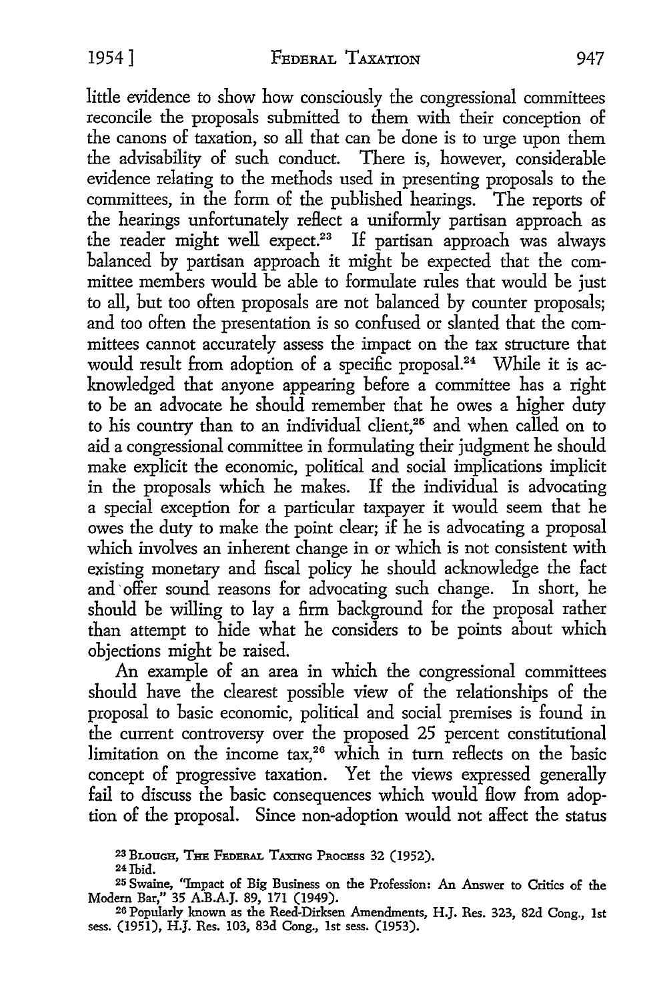little evidence to show how consciously the congressional committees reconcile the proposals submitted to them with their conception of the canons of taxation, so all that can be done is to urge upon them the advisability of such conduct. There is, however, considerable evidence relating to the methods used in presenting proposals to the committees, in the form of the published hearings. The reports of the hearings unfortunately reflect a uniformly partisan approach as the reader might well expect.<sup>23</sup> If partisan approach was always balanced by partisan approach it might be expected that the committee members would be able to formulate rules that would be just to all, but too often proposals are not balanced by counter proposals; and too often the presentation is so confused or slanted that the committees cannot accurately assess the impact on the tax structure that would result from adoption of a specific proposal.<sup>24</sup> While it is acknowledged that anyone appearing before a committee has a right to be an advocate he should remember that he owes a higher duty to his country than to an individual client,<sup>25</sup> and when called on to aid a congressional committee in formulating their judgment he should make explicit the economic, political and social implications implicit in the proposals which he makes. If the individual is advocating a special exception for a particular taxpayer it would seem that he owes the duty to make the point clear; if he is advocating a proposal which involves an inherent change in or which is not consistent with existing monetary and fiscal policy he should acknowledge the fact and offer sound reasons for advocating such change. In short, he should be willing to lay a firm background for the proposal rather than attempt to hide what he considers to be points about which objections might be raised.

An example of an area in which the congressional committees should have the clearest possible view of the relationships of the proposal to basic economic, political and social premises is found in the current controversy over the proposed 25 percent constitutional limitation on the income  $\text{tax},^{26}$  which in turn reflects on the basic concept of progressive taxation. Yet the views expressed generally fail to discuss the basic consequences which would flow from adoption of the proposal. Since non-adoption would not affect the status

<sup>23</sup>BLOUGH, THE FEDERAL TAXING PROCESS 32 (1952).

<sup>24</sup>Ihid.

<sup>25</sup> Swaine, "Impact of Big Business on the Profession: An Answer to Critics of the Modem Bar," 35 A.B.A.J. 89, 171 (1949).

<sup>26</sup> Popularly known as the Reed-Dirksen Amendments, H.J. Res. 323, 82d Cong., 1st sess. (1951), H.J. Res. 103, 83d Cong., 1st sess. (1953).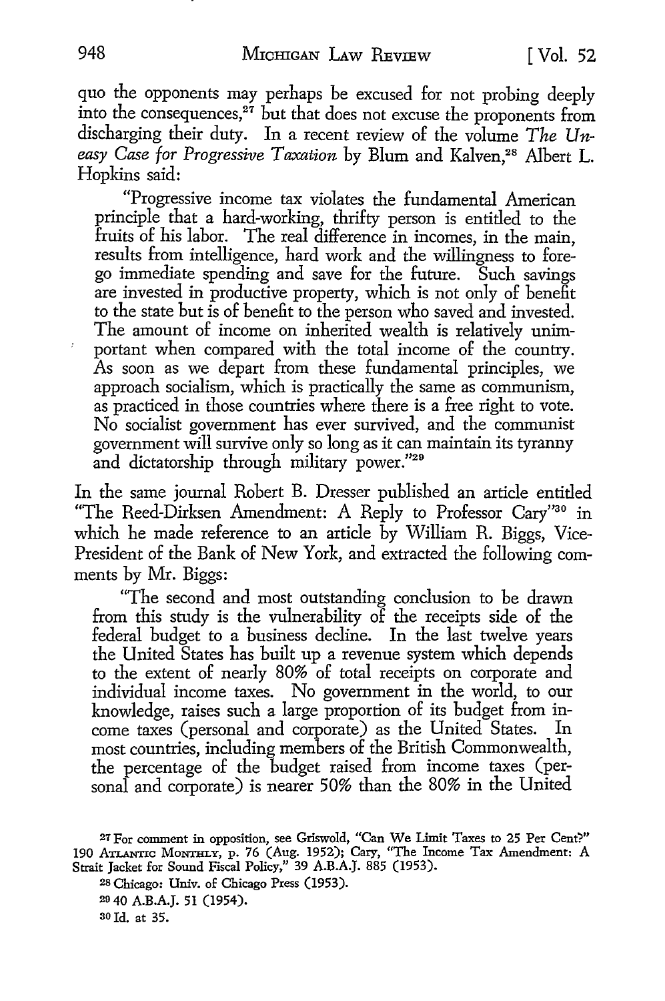quo the opponents may perhaps be excused for not probing deeply into the consequences, $27$  but that does not excuse the proponents from discharging their duty. In a recent review of the volume *The Un*easy Case for Progressive Taxation by Blum and Kalven,<sup>28</sup> Albert L. Hopkins said:

"Progressive income tax violates the fundamental American principle that a hard-working, thrifty person is entitled to the fruits of his labor. The real difference in incomes, in the main, results from intelligence, hard work and the willingness to forego immediate spending and save for the future. Such savings are invested in productive property, which is not only of benefit to the state but is of benefit to the person who saved and invested. The amount of income on inherited wealth is relatively unimportant when compared with the total income of the country. As soon as we depart from these fundamental principles, we approach socialism, which is practically the same as communism, as practiced in those countries where there is a free right to vote. No socialist government has ever survived, and the communist government will survive only so long as it can maintain its tyranny and dictatorship through military power."29

In the same journal Robert B. Dresser published an article entitled "The Reed-Dirksen Amendment: A Reply to Professor Cary"30 in which he made reference to an article by William R. Biggs, Vice-President of the Bank of New York, and extracted the following comments by Mr. Biggs:

"The second and most outstanding conclusion to be drawn from this srudy is the vulnerability of the receipts side of the federal budget to a business decline. In the last twelve years the United States has built up a revenue system which depends to the extent of nearly 80% of total receipts on corporate and individual income taxes. No government in the world, to our knowledge, raises such a large proportion of its budget from income taxes (personal and corporate) as the United States. most countries, including members of the British Commonwealth, the percentage of the budget raised from income taxes (personal and corporate) is nearer 50% than the 80% in the United

ao Id. at 35.

<sup>27</sup> For comment in opposition, see Griswold, "Can We Limit Taxes to 25 Per Cent?" 190 ATLANrIC MoNTHLY, p. 76 (Aug. 1952); Cary, "The Income Tax Amendment: A Strait Jacket for Sound Fiscal Policy," 39 A.B.A.J. 885 (1953).

<sup>28</sup> Chicago: Univ. of Chicago Press (1953).

<sup>20 40</sup> A.B.A.J. 51 (1954).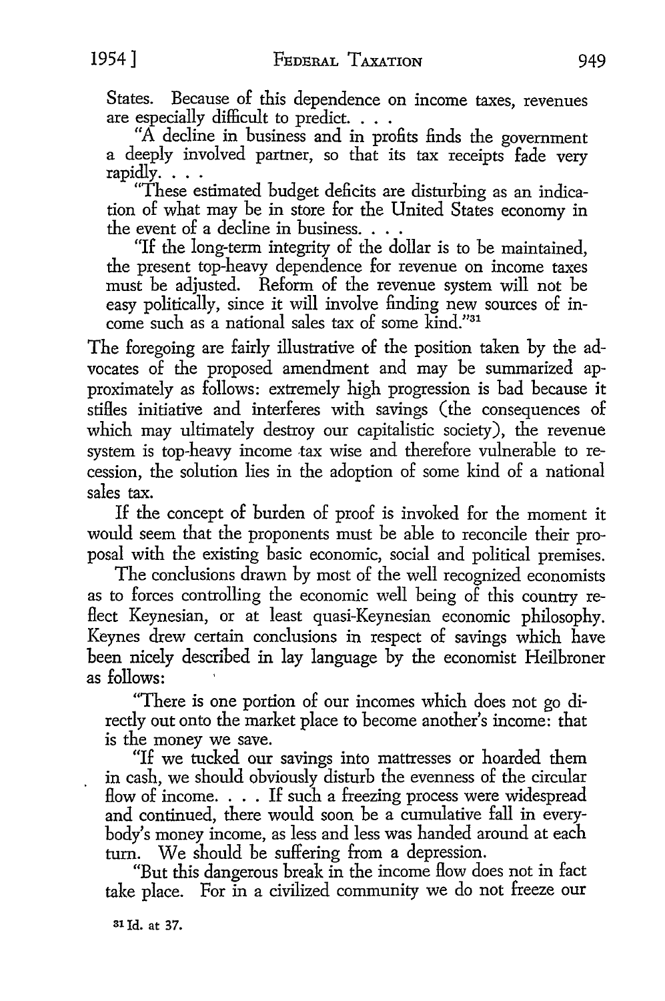States. Because of this dependence on income taxes, revenues are especially difficult to predict. . . .

"A decline in business and in profits finds the government a deeply involved partner, so that its tax receipts fade very rapidly ....

"These estimated budget deficits are disturbing as an indication of what may be in store for the United States economy in the event of a decline in business. . . .

"If the long-term integrity of the dollar is to be maintained, the present top-heavy dependence for revenue on income taxes must be adjusted. Reform of the revenue system will not be easy politically, since it will involve finding new sources of income such as a national sales tax of some kind."31

The foregoing are fairly illustrative of the position taken by the advocates of the proposed amendment and may be summarized approximately as follows: extremely high progression is bad because it stifles initiative and interferes with savings (the consequences of which may ultimately destroy our capitalistic society), the revenue system is top-heavy income tax wise and therefore vulnerable to recession, the solution lies in the adoption of some kind of a national sales tax.

If the concept of burden of proof is invoked for the moment it would seem that the proponents must be able to reconcile their proposal with the existing basic economic, social and political premises.

The conclusions drawn by most of the well recognized economists as to forces controlling the economic well being of this country reflect Keynesian, or at least quasi-Keynesian economic philosophy. Keynes drew certain conclusions in respect of savings which have been nicely described in lay language by the economist Heilbroner as follows:

"There is one portion of our incomes which does not go directly out onto the market place to become another's income: that is the money we save.

"If we tucked our savings into mattresses or hoarded them in cash, we should obviously disturb the evenness of the circular flow of income.  $\ldots$  If such a freezing process were widespread and continued, there would soon be a cumulative fall in everybody's money income, as less and less was handed around at each turn. We should be suffering from a depression.

"But this dangerous break in the income flow does not in fact take place. For in a civilized community we do not freeze our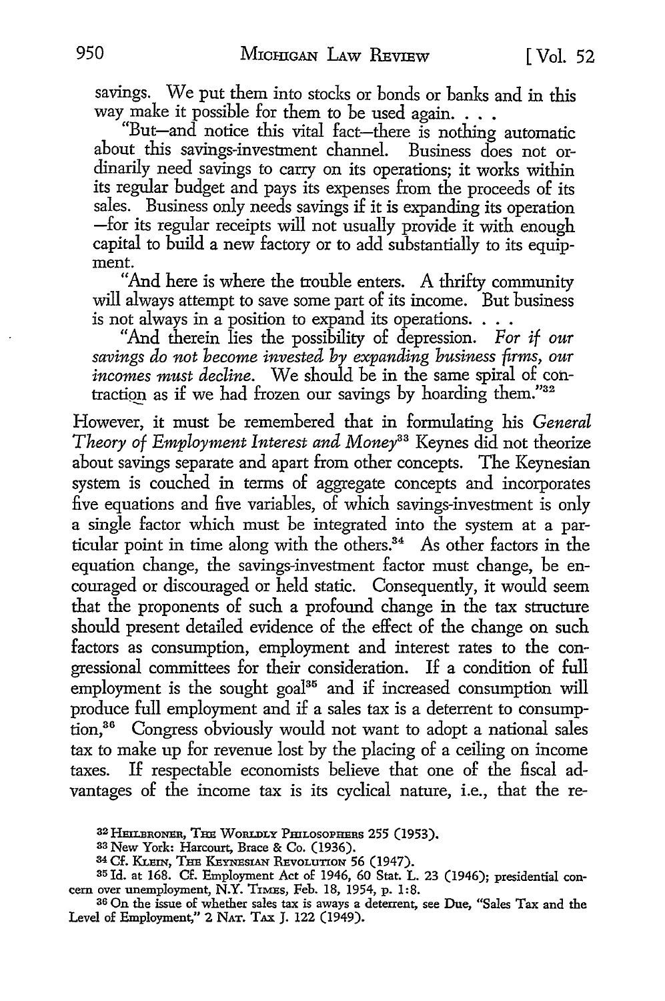savings. We put them into stocks or bonds or banks and in this way make it possible for them to be used again.  $\ldots$ 

"But-and notice this vital fact-there is nothing automatic about this savings-investment channel. Business does not ordinarily need savings to carry on its operations; it works within its regular budget and pays its expenses from the proceeds of its sales. Business only needs savings if it is expanding its operation -for its regular receipts will not usually provide it with enough capital to build a new factory or to add substantially to its equipment.

"And here is where the trouble enters. A thrifty community will always attempt to save some part of its income. But business is not always in a position to expand its operations. . . .

"And therein lies the possibility of depression. *For if our savings do not become invested by expanding business firms, our incomes must decline.* We should be **in** the same spiral of cohtraction as if we had frozen our savings by hoarding them."32

However, it must be remembered that in formulating his *General Theory of Employment Interest and Money33* Keynes did not theorize about savings separate and apart from other concepts. The Keynesian system is couched in terms of aggregate concepts and incorporates five equations and five variables, of which savings-investment is only a single factor which must be integrated into the system at a particular point in time along with the others.34 As other factors in the equation change, the savings-investment factor must change, be encouraged or discouraged or held static. Consequently, it would seem that the proponents of such a profound change in the tax structure should present detailed evidence of the effect of the change on such factors as consumption, employment and interest rates to the congressional committees for their consideration. If a condition of full employment is the sought goal<sup>35</sup> and if increased consumption will produce full employment and if a sales tax is a deterrent to consumption, 36 Congress obviously would not want to adopt a national sales tax to make up for revenue lost by the placing of a ceiling on income taxes. If respectable economists believe that one of the fiscal advantages of the income tax is its cyclical nature, i.e., that the re-

36 On the issue of whether sales tax is aways a deterrent, see Due, "Sales Tax and the Level of Employment," 2 NAT. TAX J. 122 (1949).

<sup>3</sup><sup>2</sup> HEILBRONER, THE WoRLDLY PmLosoPHERs 255 (1953).

<sup>33</sup> New York: Harcourt, Brace & Co. (1936).

<sup>34</sup> Cf. KLEIN, THE KEYNESIAN REVOLUTION 56 (1947).

<sup>35</sup> Id. at 168. Cf. Employment Act of 1946, 60 Stat. L. 23 (1946); presidential concern over unemployment, N.Y. T1MEs, Feb. 18, 1954, p. 1:8.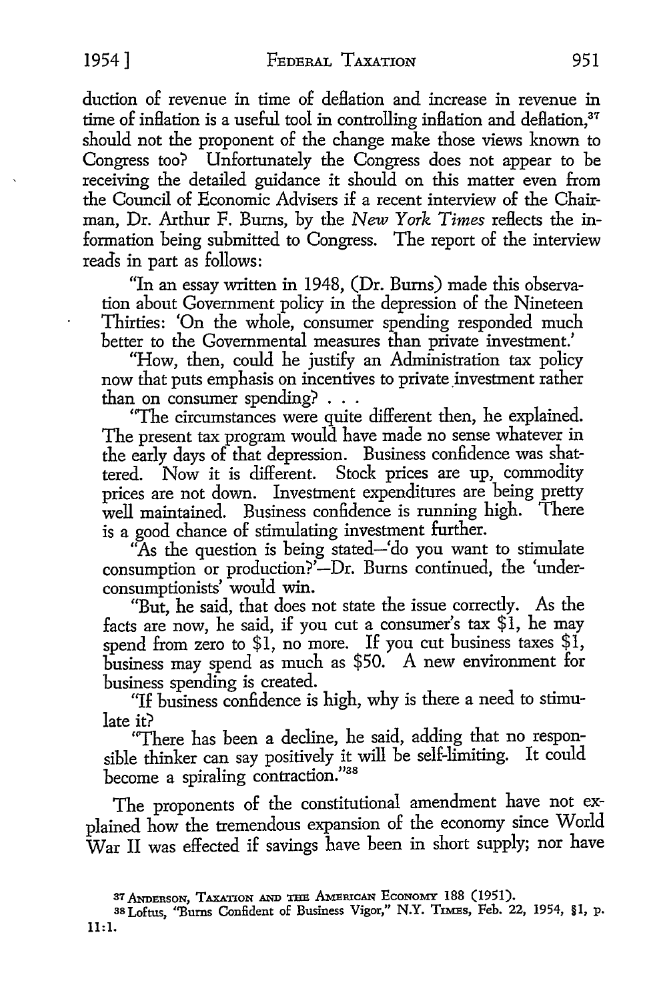duction of revenue in time of deflation and increase in revenue in time of inflation is a useful tool in controlling inflation and deflation,<sup>37</sup> should not the proponent of the change make those views known to Congress too? Unfortunately the Congress does not appear to be receiving the detailed guidance it should on this matter even from the Council of Economic Advisers if a recent interview of the Chairman, Dr. Arthur F. Burns, by the *New York Times* reflects the information being submitted to Congress. The report of the interview reads in part as follows:

"In an essay written in 1948, (Dr. Burns) made this observation about Government policy in the depression of the Nineteen Thirties: 'On the whole, consumer spending responded much better to the Governmental measures than private investment.'

"How, then, could he justify an Administration tax policy now that puts emphasis on incentives to private investment rather than on consumer spending? . . .

"The circumstances were quite different then, he explained. The present tax program would have made no sense whatever in the early days of that depression. Business confidence was shattered. Now it is different. Stock prices are up, commodity prices are not down. Investment expenditures are being pretty well maintained. Business confidence is running high. There is a good chance of stimulating investment further.

As the question is being stated-'do you want to stimulate consumption or production?'-Dr. Burns continued, the 'underconsumptionists' would win.

"But, he said, that does not state the issue correctly. As the facts are now, he said, if you cut a consumer's tax \$1, he may spend from zero to \$1, no more. If you cut business taxes \$1, business may spend as much as \$50. A new environment for business spending is created.

"If business confidence is high, why is there a need to stimulate it?

"There has been a decline, he said, adding that no responsible thinker can say positively it will be self-limiting. It could become a spiraling contraction."38

The proponents of the constitutional amendment have not explained how the tremendous expansion of the economy since World War II was effected if savings have been in short supply; nor have

<sup>37</sup> ANDERSON, TAXATION AND THE AMERICAN ECONOMY 188 (1951).

<sup>38</sup> Loftus, "Burns Confident of Business Vigor," N.Y. TIMES, Feb. 22, 1954, §l, p. 11:1.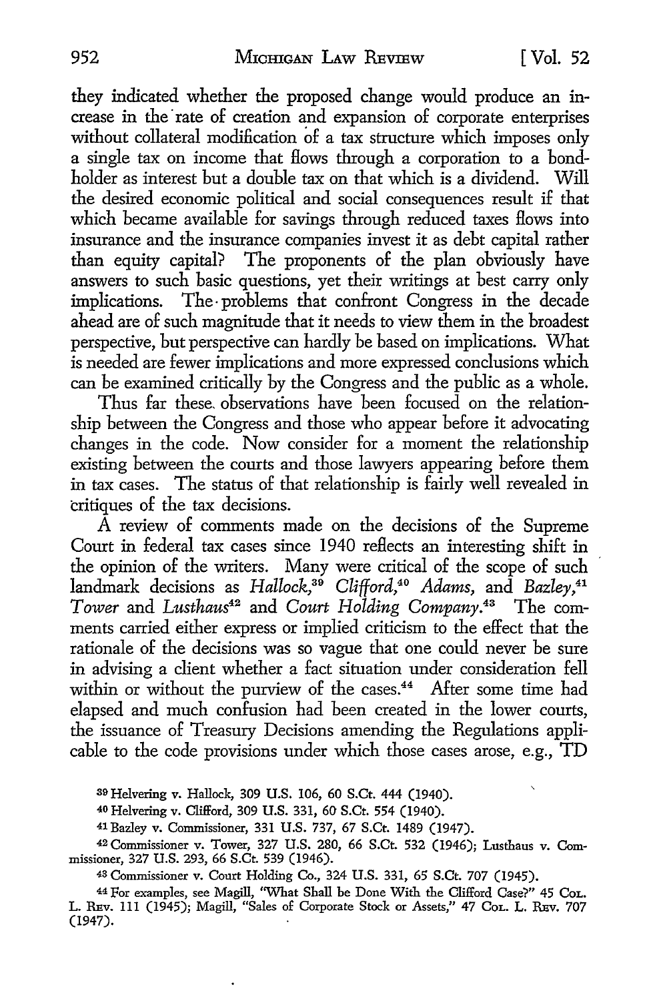they indicated whether the proposed change would produce an increase in the rate of creation and expansion of corporate enterprises without collateral modification of a tax structure which imposes only a single tax on income that Hows through a corporation to a bondholder as interest but a double tax on that which is a dividend. Will the desired economic political and social consequences result if that which became available for savings through reduced taxes Hows into insurance and the insurance companies invest it as debt capital rather than equity capital? The proponents of the plan obviously have answers to such basic questions, yet their writings at best carry only implications. The problems that confront Congress in the decade ahead are of such magnitude that it needs to view them in the broadest perspective, but perspective can hardly be based on implications. What is needed are fewer implications and more expressed conclusions which can be examined critically by the Congress and the public as a whole.

Thus far these. observations have been focused on the relationship between the Congress and those who appear before it advocating changes in the code. Now consider for a moment the relationship existing between the courts and those lawyers appearing before them in tax cases. The status of that relationship is fairly well revealed in critiques of the tax decisions.

A review of comments made on the decisions of the Supreme Court in federal tax cases since 1940 reflects an interesting shift in the opinion of the writers. Many were critical of the scope of such landmark decisions as *Hallock,39 Clifford,40 Adams,* and *Bazley,41 Tower* and *Lusthaus42* and *Court Holding Company.43* The comments carried either express or implied criticism to the effect that the rationale of the decisions was so vague that one could never be sure in advising a client whether a fact situation under consideration fell within or without the purview of the cases.<sup>44</sup> After some time had elapsed and much confusion had been created in the lower courts, the issuance of Treasury Decisions amending the Regulations applicable to the code provisions under which those cases arose, e.g., TD

39 Helvering v. Hallock, 309 U.S. 106, 60 S.Ct. 444 (1940).

40 Helvering v. Clifford, 309 U.S. 331, 60 S.Ct. 554 (1940).

41 Bazley v. Commissioner, 331 U.S. 737, 67 S.Ct. 1489 (1947).

42 Commissioner v. Tower, 327 U.S. 280, 66 S.Ct. 532 (1946); Lusthaus v. Commissioner, 327 U.S. 293, 66 S.Ct. 539 (1946).

<sup>43</sup>Commissioner v. Court Holding Co., 324 U.S. 331, 65 S.Ct. 707 (1945).

<sup>44</sup>For examples, see Magill, ''What Shall be Done With the Clifford Case?" 45 CoL. L. REv. 111 (1945); Magill, "Sales of Corporate Stock or Assets," 47 CoL. L. REv. 707 (1947).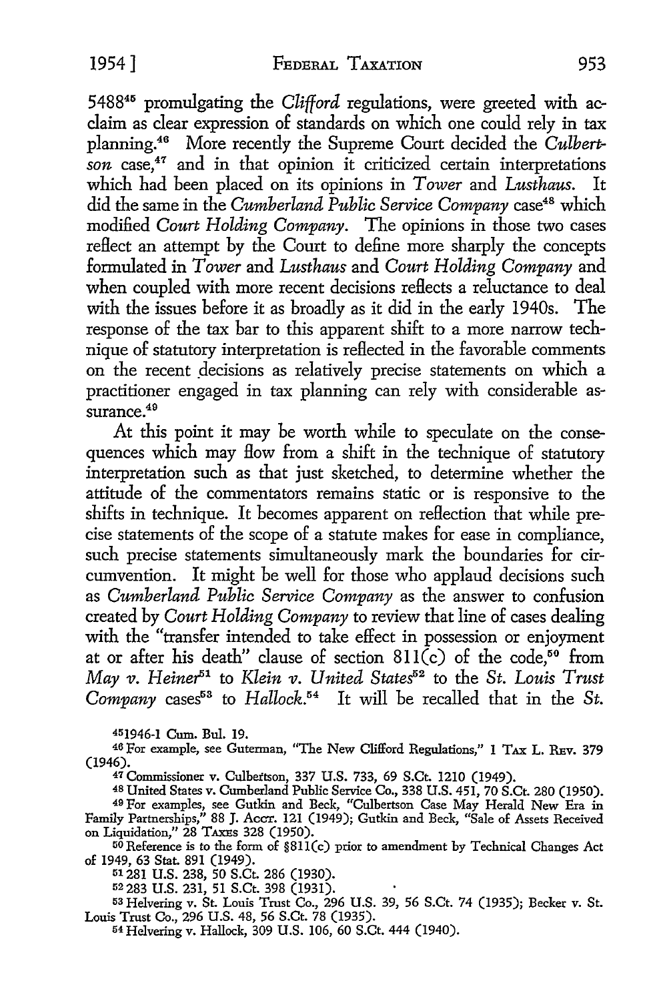548845 promulgating the *Clifford* regulations, were greeted with acclaim as clear expression of standards on which one could rely in tax planning.46 More recently the Supreme Court decided the *Culbert*son case,<sup>47</sup> and in that opinion it criticized certain interpretations which had been placed on its opinions in *Tower* and *Lusthaus.* It did the same in the *Cumberland Public Service Company* case48 which modified *Court Holding Company.* The opinions in those two cases reflect an attempt by the Court to define more sharply the concepts formulated in *Tower* and *Lusthaus* and *Court Holding Company* and when coupled with more recent decisions reflects a reluctance to deal with the issues before it as broadly as it did in the early 194Os. The response of the tax bar to this apparent shift to a more narrow technique of statutory interpretation is reflected in the favorable comments on the recent decisions as relatively precise statements on which a practitioner engaged in tax planning can rely with considerable assurance.<sup>49</sup>

At this point it may be worth while to speculate on the consequences which may How from a shift in the technique of statutory interpretation such as that just sketched, to determine whether the attitude of the commentators remains static or is responsive to the shifts in technique. It becomes apparent on reflection that while precise statements of the scope of a statute makes for ease in compliance, such precise statements simultaneously mark the boundaries for circumvention. It might be well for those who applaud decisions such as *Cumberland Public Service Company* as the answer to confusion created by *Court Holding Company* to review that line of cases dealing with the "transfer intended to take effect in possession or enjoyment at or after his death" clause of section  $811(c)$  of the code,<sup>50</sup> from *May v. Heiner*<sup>51</sup> to *Klein v. United States*<sup>52</sup> to the *St. Louis Trust Company* cases53 to *Hallock.54* It will be recalled that in the *St.* 

451946-1 Cum. Bul. 19.

46 For example, see Guterman, "The New Clifford Regulations," 1 TAX L. REv. 379 (1946).

47 Commissioner v. Culbertson, 337 U.S. 733, 69 S.Ct. 1210 (1949).

48 United States v. Cumberland Public Service Co., 338 U.S. 451, 70 S.Ct. 280 (1950). 49 For examples, see Gutkin and Beck, "Culbertson Case May Herald New Era in Family Partnerships," 88 J. Accr. 121 (1949); Gutkin and Beck, "Sale of Assets Received on Liquidation," 28 TAXEs 328 (1950).

 $50$  Reference is to the form of  $$811(c)$  prior to amendment by Technical Changes Act of 1949, 63 Stat. 891 (1949).

51281 U.S. 238, 50 S.Ct. 286 (1930).

52 283 U.S. 231, 51 S.Ct. 398 (1931).

53 Helvering v. St. Louis Trust Co., 296 U.S. 39, 56 S.Ct. 74 (1935); Becker v. St. Louis Trust Co., 296 U.S. 48, 56 S.Ct. 78 (1935).

54 Hclvering v. Hallock, 309 U.S. 106, 60 S.Ct. 444 (1940).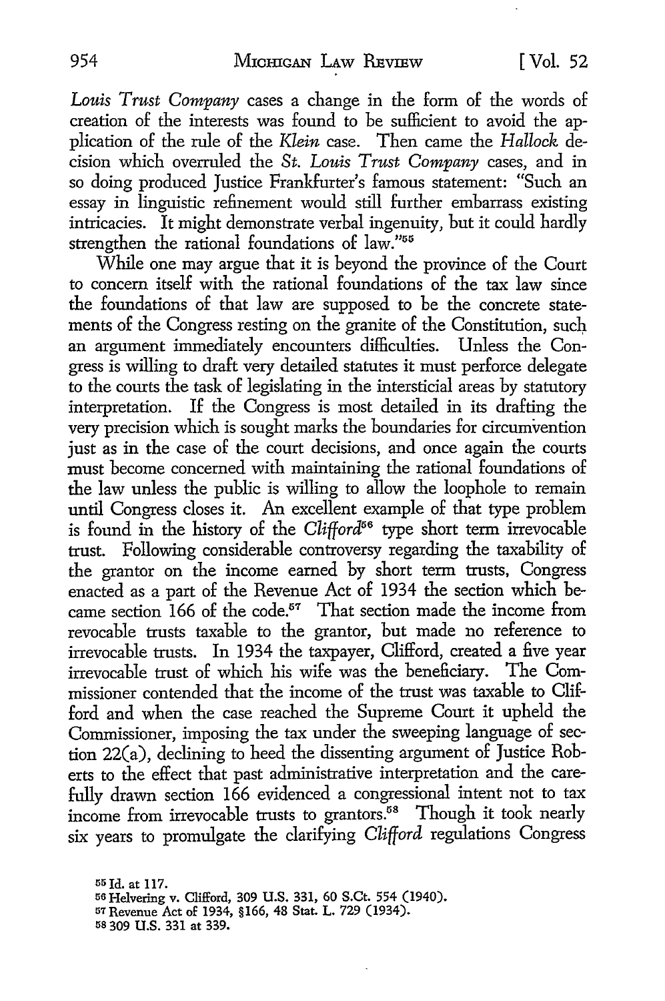*Louis Trust Company* cases a change in the form of the words of creation of the interests was found to be sufficient to avoid the application of the rule of the *Klein* case. Then came the *Hallock* decision which overruled the *St. Louis Trust Company* cases, and in so doing produced Justice Frankfurter's famous statement: "Such an essay in linguistic refinement would still further embarrass existing intricacies. It might demonstrate verbal ingenuity, but it could hardly strengthen the rational foundations of law."55

While one may argue that it is beyond the province of the Court to concern itself with the rational foundations of the tax law since the foundations of that law are supposed to be the concrete statements of the Congress resting on the granite of the Constitution, such an argument immediately encounters difficulties. Unless the Congress is willing to draft very detailed statutes it must perforce delegate to the courts the task of legislating in the intersticial areas by statutory interpretation. If the Congress is most detailed in its drafting the very precision which is sought marks the boundaries for circumvention just as in the case of the court decisions, and once again the courts must become concerned with maintaining the rational foundations of the law unless the public is willing to allow the loophole to remain until Congress closes it. An excellent example of that type problem is found in the history of the *Clifford56* type short term irrevocable trust. Following considerable controversy regarding the taxability of the grantor on the income earned by short term trusts, Congress enacted as a part of the Revenue Act of 1934 the section which became section  $166$  of the code.<sup>57</sup> That section made the income from revocable trusts taxable to the grantor, but made no reference to irrevocable trusts. In 1934 the taxpayer, Clifford, created a five year irrevocable trust of which his wife was the beneficiary. The Commissioner contended that the income of the trust was taxable to Clifford and when the case reached the Supreme Court it upheld the Commissioner, imposing the tax under the sweeping language of section 22(a), declining to heed the dissenting argument of Justice Roberts to the effect that past administrative interpretation and the carefully drawn section 166 evidenced a congressional intent not to tax income from irrevocable trusts to grantors.58 Though it took nearly six years to promulgate the clarifying *Clifford* regulations Congress

<sup>55</sup> Id. at 117.<br><sup>56</sup> Helvering v. Clifford, 309 U.S. 331, 60 S.Ct. 554 (1940). 57 Revenue Act of 1934, §166, 48 Stat. L. 729 (1934). 58 309 U.S. 331 at 339.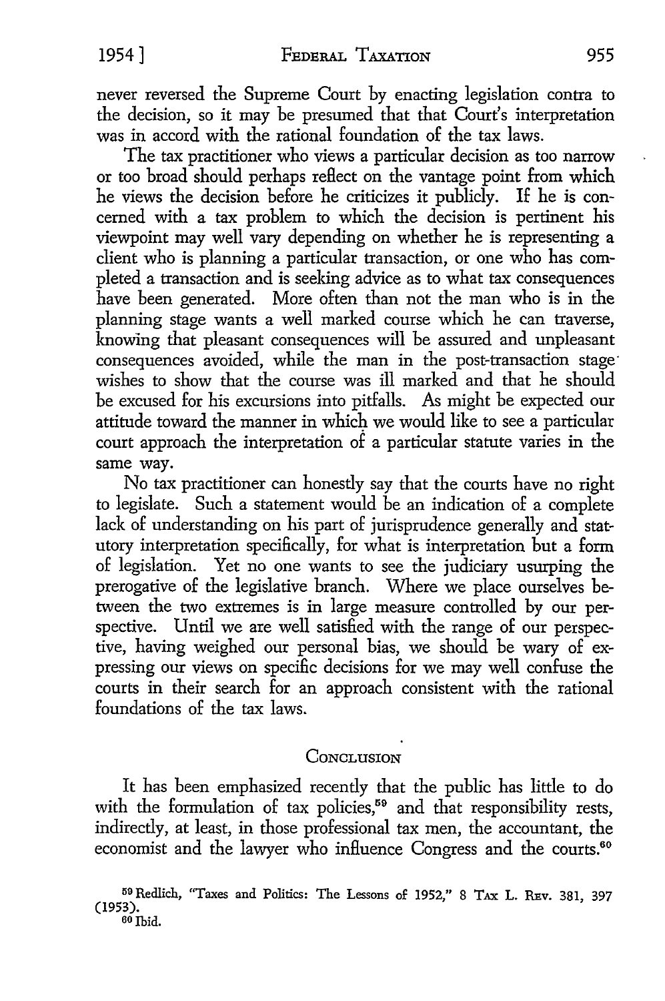never reversed the Supreme Court by enacting legislation contra to the decision, so it may be presumed that that Court's interpretation was in accord with the rational foundation of the tax laws.

The tax practitioner who views a particular decision as too narrow or too broad should perhaps reflect on the vantage point from which he views the decision before he criticizes it publicly. If he is concerned with a tax problem to which the decision is pertinent his viewpoint may well vary depending on whether he is representing a client who is planning a particular transaction, or one who has completed a transaction and is seeking advice as to what tax consequences have been generated. More often than not the man who is in the planning stage wants a well marked course which he can traverse, knowing that pleasant consequences will be assured and unpleasant consequences avoided, while the man in the post-transaction stage· wishes to show that the course was ill marked and that he should be excused for his excursions into pitfalls. As might be expected our attitude toward the manner in which we would like to see a particular court approach the interpretation of a particular statute varies in the same way.

No tax practitioner can honestly say that the courts have no right to legislate. Such a statement would be an indication of a complete lack of understanding on his part of jurisprudence generally and statutory interpretation specifically, for what is interpretation but a form of legislation. Yet no one wants to see the judiciary usurping the prerogative of the legislative branch. Where we place ourselves between the two extremes is in large measure controlled by our perspective. Until we are well satisfied with the range of our perspective, having weighed our personal bias, we should be wary of expressing our views on specific decisions for we may well confuse the courts in their search for an approach consistent with the rational foundations of the tax laws.

### **CONCLUSION**

It has been emphasized recently that the public has little to do with the formulation of tax policies,<sup>59</sup> and that responsibility rests, indirectly, at least, in those professional tax men, the accountant, the economist and the lawyer who influence Congress and the courts.<sup>60</sup>

<sup>&</sup>lt;sup>59</sup> Redlich, "Taxes and Politics: The Lessons of 1952," 8 Tax L. REv. 381, 397<br>(1953). ao Ibid.